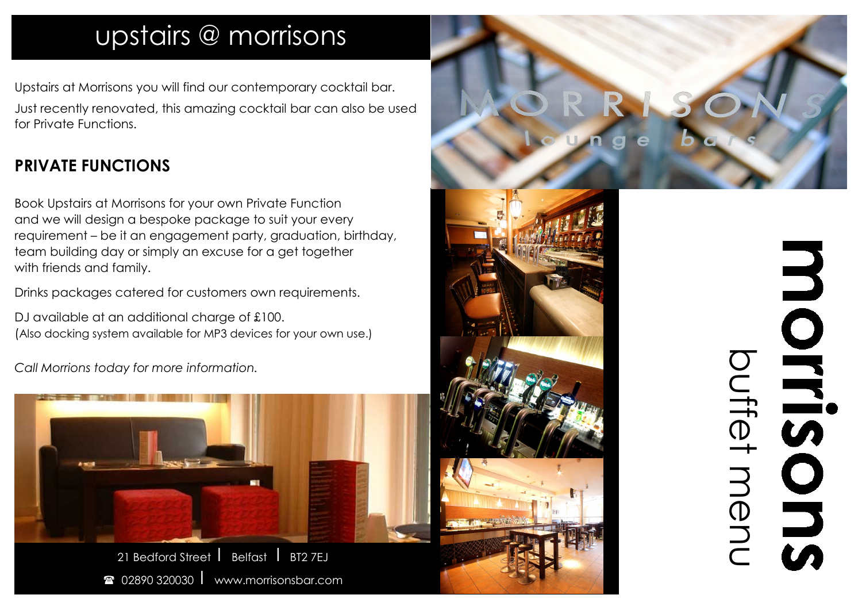## upstairs @ morrisons

Upstairs at Morrisons you will find our contemporary cocktail bar. Just recently renovated, this amazing cocktail bar can also be used for Private Functions.

## **PRIVATE FUNCTIONS**

Book Upstairs at Morrisons for your own Private Function and we will design a bespoke package to suit your every requirement – be it an engagement party, graduation, birthday, team building day or simply an excuse for a get together with friends and family.

Drinks packages catered for customers own requirements.

DJ available at an additional charge of £100. (Also docking system available for MP3 devices for your own use.)

*Call Morrions today for more information.*





## MONDONSONS buffet menu